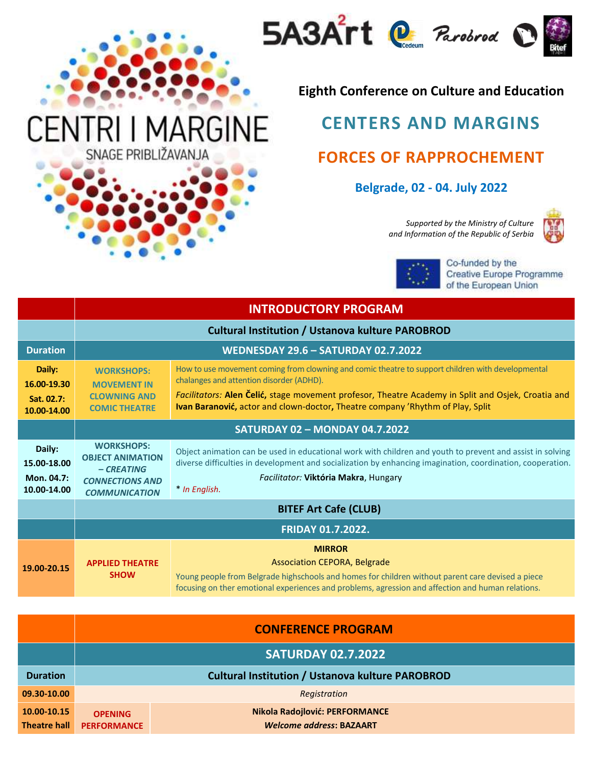



## **Eighth Conference on Culture and Education**

## **CENTERS AND MARGINS FORCES OF RAPPROCHEMENT**

## **Belgrade, 02 - 04. July 2022**

*Supported by the Ministry of Culture and Information of the Republic of Serbia* 





Co-funded by the Creative Europe Programme of the European Union

|                                                    | <b>INTRODUCTORY PROGRAM</b>                                                                                   |                                                                                                                                                                                                                                                                                                                                              |  |
|----------------------------------------------------|---------------------------------------------------------------------------------------------------------------|----------------------------------------------------------------------------------------------------------------------------------------------------------------------------------------------------------------------------------------------------------------------------------------------------------------------------------------------|--|
|                                                    | <b>Cultural Institution / Ustanova kulture PAROBROD</b>                                                       |                                                                                                                                                                                                                                                                                                                                              |  |
| <b>Duration</b>                                    | <b>WEDNESDAY 29.6 - SATURDAY 02.7.2022</b>                                                                    |                                                                                                                                                                                                                                                                                                                                              |  |
| Daily:<br>16.00-19.30<br>Sat. 02.7:<br>10.00-14.00 | <b>WORKSHOPS:</b><br><b>MOVEMENT IN</b><br><b>CLOWNING AND</b><br><b>COMIC THEATRE</b>                        | How to use movement coming from clowning and comic theatre to support children with developmental<br>chalanges and attention disorder (ADHD).<br>Facilitators: Alen Čelić, stage movement profesor, Theatre Academy in Split and Osjek, Croatia and<br><b>Ivan Baranović, actor and clown-doctor, Theatre company 'Rhythm of Play, Split</b> |  |
|                                                    | <b>SATURDAY 02 - MONDAY 04.7.2022</b>                                                                         |                                                                                                                                                                                                                                                                                                                                              |  |
| Daily:<br>15.00-18.00<br>Mon. 04.7:<br>10.00-14.00 | <b>WORKSHOPS:</b><br><b>OBJECT ANIMATION</b><br>$-CREATING$<br><b>CONNECTIONS AND</b><br><b>COMMUNICATION</b> | Object animation can be used in educational work with children and youth to prevent and assist in solving<br>diverse difficulties in development and socialization by enhancing imagination, coordination, cooperation.<br>Facilitator: Viktória Makra, Hungary<br>* In English.                                                             |  |
|                                                    | <b>BITEF Art Cafe (CLUB)</b>                                                                                  |                                                                                                                                                                                                                                                                                                                                              |  |
|                                                    | <b>FRIDAY 01.7.2022.</b>                                                                                      |                                                                                                                                                                                                                                                                                                                                              |  |
| 19.00-20.15                                        | <b>APPLIED THEATRE</b><br><b>SHOW</b>                                                                         | <b>MIRROR</b><br>Association CEPORA, Belgrade<br>Young people from Belgrade highschools and homes for children without parent care devised a piece<br>focusing on ther emotional experiences and problems, agression and affection and human relations.                                                                                      |  |

|                                    | <b>CONFERENCE PROGRAM</b>                               |                                                                   |  |
|------------------------------------|---------------------------------------------------------|-------------------------------------------------------------------|--|
|                                    |                                                         | <b>SATURDAY 02.7.2022</b>                                         |  |
| <b>Duration</b>                    | <b>Cultural Institution / Ustanova kulture PAROBROD</b> |                                                                   |  |
| 09.30-10.00                        | Registration                                            |                                                                   |  |
| 10.00-10.15<br><b>Theatre hall</b> | <b>OPENING</b><br><b>PERFORMANCE</b>                    | Nikola Radojlović: PERFORMANCE<br><b>Welcome address: BAZAART</b> |  |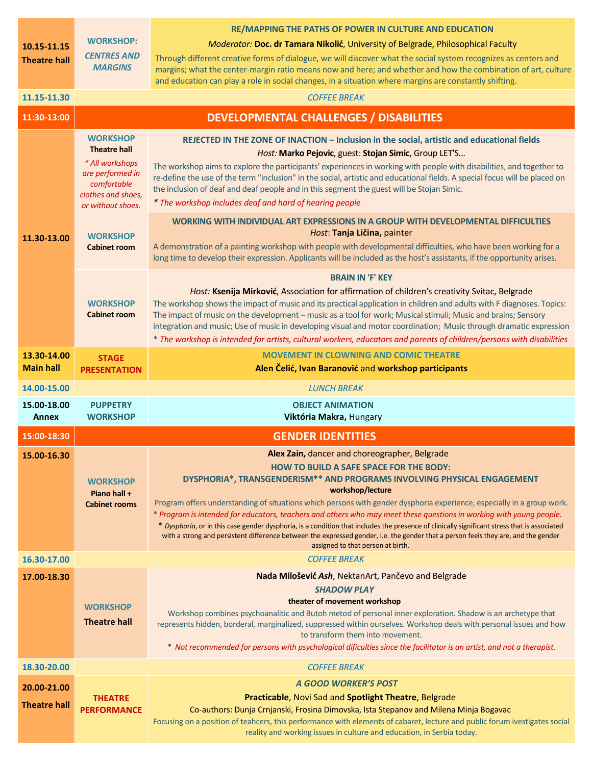|                                    |                                                                          | <b>RE/MAPPING THE PATHS OF POWER IN CULTURE AND EDUCATION</b>                                                                                                                                                                                                       |
|------------------------------------|--------------------------------------------------------------------------|---------------------------------------------------------------------------------------------------------------------------------------------------------------------------------------------------------------------------------------------------------------------|
| 10.15-11.15<br><b>Theatre hall</b> | <b>WORKSHOP:</b>                                                         | Moderator: Doc. dr Tamara Nikolić, University of Belgrade, Philosophical Faculty                                                                                                                                                                                    |
|                                    | <b>CENTRES AND</b>                                                       | Through different creative forms of dialogue, we will discover what the social system recognizes as centers and                                                                                                                                                     |
|                                    | <b>MARGINS</b>                                                           | margins; what the center-margin ratio means now and here; and whether and how the combination of art, culture<br>and education can play a role in social changes, in a situation where margins are constantly shifting.                                             |
| 11.15-11.30                        |                                                                          | <b>COFFEE BREAK</b>                                                                                                                                                                                                                                                 |
| 11:30-13:00                        | <b>DEVELOPMENTAL CHALLENGES / DISABILITIES</b>                           |                                                                                                                                                                                                                                                                     |
|                                    | <b>WORKSHOP</b>                                                          | REJECTED IN THE ZONE OF INACTION - Inclusion in the social, artistic and educational fields                                                                                                                                                                         |
|                                    | <b>Theatre hall</b>                                                      | Host: Marko Pejovic, guest: Stojan Simic, Group LET'S                                                                                                                                                                                                               |
|                                    | * All workshops<br>are performed in<br>comfortable<br>clothes and shoes, | The workshop aims to explore the participants' experiences in working with people with disabilities, and together to                                                                                                                                                |
|                                    |                                                                          | re-define the use of the term "inclusion" in the social, artistic and educational fields. A special focus will be placed on                                                                                                                                         |
|                                    |                                                                          | the inclusion of deaf and deaf people and in this segment the guest will be Stojan Simic.<br>* The workshop includes deaf and hard of hearing people                                                                                                                |
|                                    | or without shoes.                                                        |                                                                                                                                                                                                                                                                     |
|                                    | <b>WORKSHOP</b>                                                          | WORKING WITH INDIVIDUAL ART EXPRESSIONS IN A GROUP WITH DEVELOPMENTAL DIFFICULTIES<br>Host: Tanja Ličina, painter                                                                                                                                                   |
| 11.30-13.00                        | <b>Cabinet room</b>                                                      | A demonstration of a painting workshop with people with developmental difficulties, who have been working for a                                                                                                                                                     |
|                                    |                                                                          | long time to develop their expression. Applicants will be included as the host's assistants, if the opportunity arises.                                                                                                                                             |
|                                    |                                                                          | <b>BRAIN IN 'F' KEY</b>                                                                                                                                                                                                                                             |
|                                    |                                                                          | Host: Ksenija Mirković, Association for affirmation of children's creativity Svitac, Belgrade                                                                                                                                                                       |
|                                    | <b>WORKSHOP</b><br><b>Cabinet room</b>                                   | The workshop shows the impact of music and its practical application in children and adults with F diagnoses. Topics:<br>The impact of music on the development - music as a tool for work; Musical stimuli; Music and brains; Sensory                              |
|                                    |                                                                          | integration and music; Use of music in developing visual and motor coordination; Music through dramatic expression                                                                                                                                                  |
|                                    |                                                                          | * The workshop is intended for artists, cultural workers, educators and parents of children/persons with disabilities                                                                                                                                               |
| 13.30-14.00                        | <b>STAGE</b>                                                             | <b>MOVEMENT IN CLOWNING AND COMIC THEATRE</b>                                                                                                                                                                                                                       |
| <b>Main hall</b>                   | <b>PRESENTATION</b>                                                      | Alen Čelić, Ivan Baranović and workshop participants                                                                                                                                                                                                                |
|                                    |                                                                          |                                                                                                                                                                                                                                                                     |
| 14.00-15.00                        |                                                                          | <b>LUNCH BREAK</b>                                                                                                                                                                                                                                                  |
| 15.00-18.00                        | <b>PUPPETRY</b>                                                          | <b>OBJECT ANIMATION</b>                                                                                                                                                                                                                                             |
| <b>Annex</b>                       | <b>WORKSHOP</b>                                                          | Viktória Makra, Hungary                                                                                                                                                                                                                                             |
| 15:00-18:30                        |                                                                          | <b>GENDER IDENTITIES</b>                                                                                                                                                                                                                                            |
| 15.00-16.30                        |                                                                          | Alex Zain, dancer and choreographer, Belgrade                                                                                                                                                                                                                       |
|                                    | <b>WORKSHOP</b>                                                          | HOW TO BUILD A SAFE SPACE FOR THE BODY:<br>DYSPHORIA*, TRANSGENDERISM** AND PROGRAMS INVOLVING PHYSICAL ENGAGEMENT                                                                                                                                                  |
|                                    | Piano hall +                                                             | workshop/lecture                                                                                                                                                                                                                                                    |
|                                    | <b>Cabinet rooms</b>                                                     | Program offers understanding of situations which persons with gender dysphoria experience, especially in a group work.                                                                                                                                              |
|                                    |                                                                          | * Program is intended for educators, teachers and others who may meet these questions in working with young people.<br>* Dysphoria, or in this case gender dysphoria, is a condition that includes the presence of clinically significant stress that is associated |
|                                    |                                                                          | with a strong and persistent difference between the expressed gender, i.e. the gender that a person feels they are, and the gender<br>assigned to that person at birth.                                                                                             |
| 16.30-17.00                        |                                                                          | <b>COFFEE BREAK</b>                                                                                                                                                                                                                                                 |
| 17.00-18.30                        |                                                                          | Nada Milošević Ash, NektanArt, Pančevo and Belgrade                                                                                                                                                                                                                 |
|                                    |                                                                          | <b>SHADOW PLAY</b>                                                                                                                                                                                                                                                  |
|                                    | <b>WORKSHOP</b>                                                          | theater of movement workshop                                                                                                                                                                                                                                        |
|                                    | <b>Theatre hall</b>                                                      | Workshop combines psychoanalitic and Butoh metod of personal inner exploration. Shadow is an archetype that<br>represents hidden, borderal, marginalized, suppressed within ourselves. Workshop deals with personal issues and how                                  |
|                                    |                                                                          | to transform them into movement.                                                                                                                                                                                                                                    |
|                                    |                                                                          | * Not recommended for persons with psychological dificulties since the facilitator is an artist, and not a therapist.                                                                                                                                               |
| 18.30-20.00                        |                                                                          | <b>COFFEE BREAK</b>                                                                                                                                                                                                                                                 |
| 20.00-21.00                        |                                                                          | <b>A GOOD WORKER'S POST</b>                                                                                                                                                                                                                                         |
| <b>Theatre hall</b>                | <b>THEATRE</b><br><b>PERFORMANCE</b>                                     | Practicable, Novi Sad and Spotlight Theatre, Belgrade<br>Co-authors: Dunja Crnjanski, Frosina Dimovska, Ista Stepanov and Milena Minja Bogavac                                                                                                                      |
|                                    |                                                                          | Focusing on a position of teahcers, this performance with elements of cabaret, lecture and public forum ivestigates social<br>reality and working issues in culture and education, in Serbia today.                                                                 |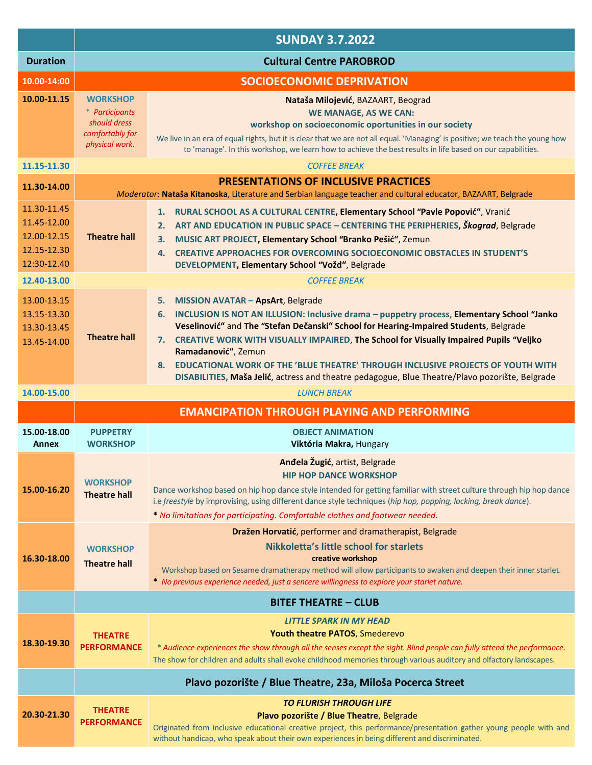|                                                                          | <b>SUNDAY 3.7.2022</b>                                                                 |                                                                                                                                                                                                                                                                                                                                                                                                                                                                                                                                               |
|--------------------------------------------------------------------------|----------------------------------------------------------------------------------------|-----------------------------------------------------------------------------------------------------------------------------------------------------------------------------------------------------------------------------------------------------------------------------------------------------------------------------------------------------------------------------------------------------------------------------------------------------------------------------------------------------------------------------------------------|
| <b>Duration</b>                                                          |                                                                                        | <b>Cultural Centre PAROBROD</b>                                                                                                                                                                                                                                                                                                                                                                                                                                                                                                               |
| 10.00-14:00                                                              |                                                                                        | <b>SOCIOECONOMIC DEPRIVATION</b>                                                                                                                                                                                                                                                                                                                                                                                                                                                                                                              |
| 10.00-11.15                                                              | <b>WORKSHOP</b><br>* Participants<br>should dress<br>comfortably for<br>physical work. | Nataša Milojević, BAZAART, Beograd<br><b>WE MANAGE, AS WE CAN:</b><br>workshop on socioeconomic oportunities in our society<br>We live in an era of equal rights, but it is clear that we are not all equal. 'Managing' is positive; we teach the young how<br>to 'manage'. In this workshop, we learn how to achieve the best results in life based on our capabilities.                                                                                                                                                                     |
| 11.15-11.30                                                              | <b>COFFEE BREAK</b>                                                                    |                                                                                                                                                                                                                                                                                                                                                                                                                                                                                                                                               |
| 11.30-14.00                                                              |                                                                                        | <b>PRESENTATIONS OF INCLUSIVE PRACTICES</b><br>Moderator: Nataša Kitanoska, Literature and Serbian language teacher and cultural educator, BAZAART, Belgrade                                                                                                                                                                                                                                                                                                                                                                                  |
| 11.30-11.45<br>11.45-12.00<br>12.00-12.15<br>12, 15-12.30<br>12:30-12.40 | <b>Theatre hall</b>                                                                    | RURAL SCHOOL AS A CULTURAL CENTRE, Elementary School "Pavle Popović", Vranić<br>1.<br>ART AND EDUCATION IN PUBLIC SPACE - CENTERING THE PERIPHERIES, Škograd, Belgrade<br>2.<br>MUSIC ART PROJECT, Elementary School "Branko Pešić", Zemun<br>3.<br><b>CREATIVE APPROACHES FOR OVERCOMING SOCIOECONOMIC OBSTACLES IN STUDENT'S</b><br>4.<br>DEVELOPMENT, Elementary School "Vožd", Belgrade                                                                                                                                                   |
| 12.40-13.00                                                              |                                                                                        | <b>COFFEE BREAK</b>                                                                                                                                                                                                                                                                                                                                                                                                                                                                                                                           |
| 13.00-13.15<br>13.15-13.30<br>13.30-13.45<br>13.45-14.00                 | <b>Theatre hall</b>                                                                    | 5. MISSION AVATAR - ApsArt, Belgrade<br>INCLUSION IS NOT AN ILLUSION: Inclusive drama - puppetry process, Elementary School "Janko<br>6.<br>Veselinović" and The "Stefan Dečanski" School for Hearing-Impaired Students, Belgrade<br>7. CREATIVE WORK WITH VISUALLY IMPAIRED, The School for Visually Impaired Pupils "Veljko<br>Ramadanović", Zemun<br>8. EDUCATIONAL WORK OF THE 'BLUE THEATRE' THROUGH INCLUSIVE PROJECTS OF YOUTH WITH<br>DISABILITIES, Maša Jelić, actress and theatre pedagogue, Blue Theatre/Plavo pozorište, Belgrade |
| 14.00-15.00                                                              |                                                                                        | <b>LUNCH BREAK</b>                                                                                                                                                                                                                                                                                                                                                                                                                                                                                                                            |
|                                                                          |                                                                                        | <b>EMANCIPATION THROUGH PLAYING AND PERFORMING</b>                                                                                                                                                                                                                                                                                                                                                                                                                                                                                            |
| 15.00-18.00<br>Annex                                                     | <b>PUPPETRY</b><br><b>WORKSHOP</b>                                                     | <b>OBJECT ANIMATION</b><br>Viktória Makra, Hungary                                                                                                                                                                                                                                                                                                                                                                                                                                                                                            |
| 15.00-16.20                                                              | <b>WORKSHOP</b><br><b>Theatre hall</b>                                                 | Anđela Žugić, artist, Belgrade<br><b>HIP HOP DANCE WORKSHOP</b><br>Dance workshop based on hip hop dance style intended for getting familiar with street culture through hip hop dance<br>i.e freestyle by improvising, using different dance style techniques (hip hop, popping, locking, break dance).<br>* No limitations for participating. Comfortable clothes and footwear needed.                                                                                                                                                      |
| 16.30-18.00                                                              | <b>WORKSHOP</b><br><b>Theatre hall</b>                                                 | Dražen Horvatić, performer and dramatherapist, Belgrade<br>Nikkoletta's little school for starlets<br>creative workshop<br>Workshop based on Sesame dramatherapy method will allow participants to awaken and deepen their inner starlet.<br>* No previous experience needed, just a sencere willingness to explore your starlet nature.                                                                                                                                                                                                      |
|                                                                          |                                                                                        | <b>BITEF THEATRE - CLUB</b>                                                                                                                                                                                                                                                                                                                                                                                                                                                                                                                   |
| 18.30-19.30                                                              | <b>THEATRE</b><br><b>PERFORMANCE</b>                                                   | <b>LITTLE SPARK IN MY HEAD</b><br><b>Youth theatre PATOS, Smederevo</b><br>* Audience experiences the show through all the senses except the sight. Blind people can fully attend the performance.<br>The show for children and adults shall evoke childhood memories through various auditory and olfactory landscapes.                                                                                                                                                                                                                      |
|                                                                          |                                                                                        | Plavo pozorište / Blue Theatre, 23a, Miloša Pocerca Street                                                                                                                                                                                                                                                                                                                                                                                                                                                                                    |
| 20.30-21.30                                                              | <b>THEATRE</b><br><b>PERFORMANCE</b>                                                   | <b>TO FLURISH THROUGH LIFE</b><br>Plavo pozorište / Blue Theatre, Belgrade<br>Originated from inclusive educational creative project, this performance/presentation gather young people with and<br>without handicap, who speak about their own experiences in being different and discriminated.                                                                                                                                                                                                                                             |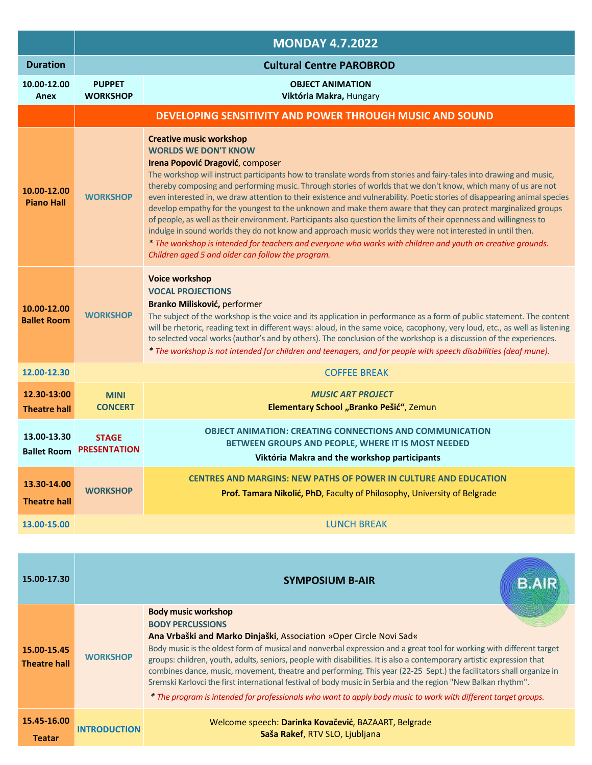|                                    | <b>MONDAY 4.7.2022</b>                |                                                                                                                                                                                                                                                                                                                                                                                                                                                                                                                                                                                                                                                                                                                                                                                                                                                                                                                                                                                                   |
|------------------------------------|---------------------------------------|---------------------------------------------------------------------------------------------------------------------------------------------------------------------------------------------------------------------------------------------------------------------------------------------------------------------------------------------------------------------------------------------------------------------------------------------------------------------------------------------------------------------------------------------------------------------------------------------------------------------------------------------------------------------------------------------------------------------------------------------------------------------------------------------------------------------------------------------------------------------------------------------------------------------------------------------------------------------------------------------------|
| <b>Duration</b>                    | <b>Cultural Centre PAROBROD</b>       |                                                                                                                                                                                                                                                                                                                                                                                                                                                                                                                                                                                                                                                                                                                                                                                                                                                                                                                                                                                                   |
| 10.00-12.00<br>Anex                | <b>PUPPET</b><br><b>WORKSHOP</b>      | <b>OBJECT ANIMATION</b><br>Viktória Makra, Hungary                                                                                                                                                                                                                                                                                                                                                                                                                                                                                                                                                                                                                                                                                                                                                                                                                                                                                                                                                |
|                                    |                                       | DEVELOPING SENSITIVITY AND POWER THROUGH MUSIC AND SOUND                                                                                                                                                                                                                                                                                                                                                                                                                                                                                                                                                                                                                                                                                                                                                                                                                                                                                                                                          |
| 10.00-12.00<br><b>Piano Hall</b>   | <b>WORKSHOP</b>                       | <b>Creative music workshop</b><br><b>WORLDS WE DON'T KNOW</b><br>Irena Popović Dragović, composer<br>The workshop will instruct participants how to translate words from stories and fairy-tales into drawing and music,<br>thereby composing and performing music. Through stories of worlds that we don't know, which many of us are not<br>even interested in, we draw attention to their existence and vulnerability. Poetic stories of disappearing animal species<br>develop empathy for the youngest to the unknown and make them aware that they can protect marginalized groups<br>of people, as well as their environment. Participants also question the limits of their openness and willingness to<br>indulge in sound worlds they do not know and approach music worlds they were not interested in until then.<br>* The workshop is intended for teachers and everyone who works with children and youth on creative grounds.<br>Children aged 5 and older can follow the program. |
| 10.00-12.00<br><b>Ballet Room</b>  | <b>WORKSHOP</b>                       | <b>Voice workshop</b><br><b>VOCAL PROJECTIONS</b><br>Branko Milisković, performer<br>The subject of the workshop is the voice and its application in performance as a form of public statement. The content<br>will be rhetoric, reading text in different ways: aloud, in the same voice, cacophony, very loud, etc., as well as listening<br>to selected vocal works (author's and by others). The conclusion of the workshop is a discussion of the experiences.<br>* The workshop is not intended for children and teenagers, and for people with speech disabilities (deaf mune).                                                                                                                                                                                                                                                                                                                                                                                                            |
| 12.00-12.30                        |                                       | <b>COFFEE BREAK</b>                                                                                                                                                                                                                                                                                                                                                                                                                                                                                                                                                                                                                                                                                                                                                                                                                                                                                                                                                                               |
| 12.30-13:00<br><b>Theatre hall</b> | <b>MINI</b><br><b>CONCERT</b>         | <b>MUSIC ART PROJECT</b><br>Elementary School "Branko Pešić", Zemun                                                                                                                                                                                                                                                                                                                                                                                                                                                                                                                                                                                                                                                                                                                                                                                                                                                                                                                               |
| 13.00-13.30<br><b>Ballet Room</b>  | <b>STAGE</b><br><b>PRESENTATION</b>   | <b>OBJECT ANIMATION: CREATING CONNECTIONS AND COMMUNICATION</b><br>BETWEEN GROUPS AND PEOPLE, WHERE IT IS MOST NEEDED<br>Viktória Makra and the workshop participants                                                                                                                                                                                                                                                                                                                                                                                                                                                                                                                                                                                                                                                                                                                                                                                                                             |
| 13.30-14.00<br><b>Theatre hall</b> | <b>WORKSHOP</b>                       | <b>CENTRES AND MARGINS: NEW PATHS OF POWER IN CULTURE AND EDUCATION</b><br>Prof. Tamara Nikolić, PhD, Faculty of Philosophy, University of Belgrade                                                                                                                                                                                                                                                                                                                                                                                                                                                                                                                                                                                                                                                                                                                                                                                                                                               |
| 13.00-15.00                        |                                       | <b>LUNCH BREAK</b>                                                                                                                                                                                                                                                                                                                                                                                                                                                                                                                                                                                                                                                                                                                                                                                                                                                                                                                                                                                |
|                                    |                                       |                                                                                                                                                                                                                                                                                                                                                                                                                                                                                                                                                                                                                                                                                                                                                                                                                                                                                                                                                                                                   |
| 15.00-17.30                        | <b>SYMPOSIUM B-AIR</b><br><b>B.AI</b> |                                                                                                                                                                                                                                                                                                                                                                                                                                                                                                                                                                                                                                                                                                                                                                                                                                                                                                                                                                                                   |
| 15.00-15.45<br><b>Theatre hall</b> | <b>WORKSHOP</b>                       | <b>Body music workshop</b><br><b>BODY PERCUSSIONS</b><br>Ana Vrbaški and Marko Dinjaški, Association »Oper Circle Novi Sad«<br>Body music is the oldest form of musical and nonverbal expression and a great tool for working with different target<br>groups: children, youth, adults, seniors, people with disabilities. It is also a contemporary artistic expression that<br>combines dance, music, movement, theatre and performing. This year (22-25 Sept.) the facilitators shall organize in<br>Sremski Karlovci the first international festival of body music in Serbia and the region "New Balkan rhythm".<br>* The program is intended for professionals who want to apply body music to work with different target groups.                                                                                                                                                                                                                                                           |
| 15.45-16.00                        |                                       | Welcome speech: Darinka Kovačević, BAZAART, Belgrade                                                                                                                                                                                                                                                                                                                                                                                                                                                                                                                                                                                                                                                                                                                                                                                                                                                                                                                                              |

**Saša Rakef**, RTV SLO, Ljubljana

**Teatar**

**INTRODUCTION**